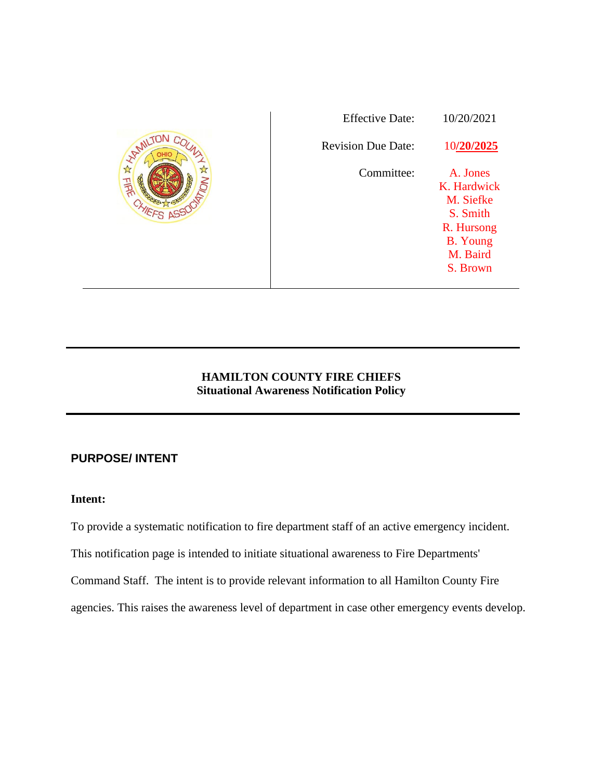|               | <b>Effective Date:</b>    | 10/20/2021      |
|---------------|---------------------------|-----------------|
| <b>HALLES</b> | <b>Revision Due Date:</b> | 10/20/2025      |
| Elek          | Committee:                | A. Jones        |
|               |                           | K. Hardwick     |
|               |                           | M. Siefke       |
|               |                           | S. Smith        |
|               |                           | R. Hursong      |
|               |                           | <b>B.</b> Young |
|               |                           | M. Baird        |
|               |                           | S. Brown        |
|               |                           |                 |

# **HAMILTON COUNTY FIRE CHIEFS Situational Awareness Notification Policy**

# **PURPOSE/ INTENT**

# **Intent:**

To provide a systematic notification to fire department staff of an active emergency incident.

This notification page is intended to initiate situational awareness to Fire Departments'

Command Staff. The intent is to provide relevant information to all Hamilton County Fire

agencies. This raises the awareness level of department in case other emergency events develop.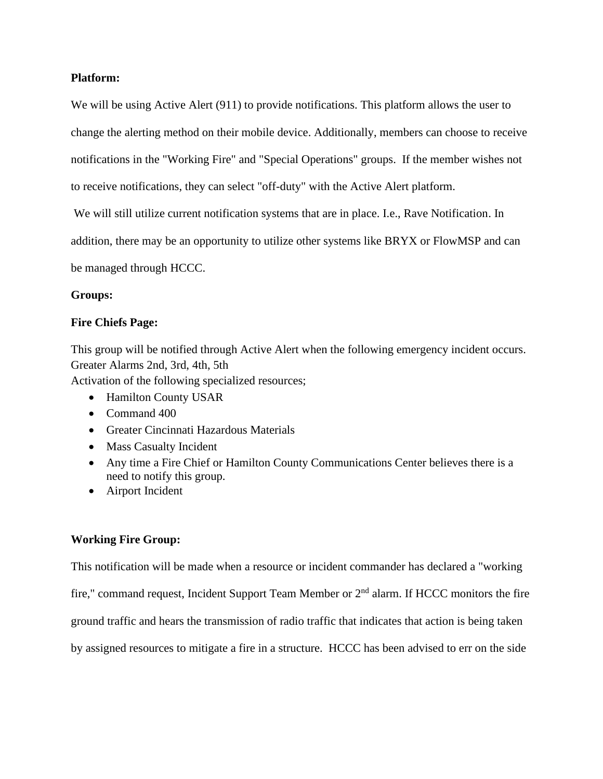## **Platform:**

We will be using Active Alert (911) to provide notifications. This platform allows the user to change the alerting method on their mobile device. Additionally, members can choose to receive notifications in the "Working Fire" and "Special Operations" groups. If the member wishes not to receive notifications, they can select "off-duty" with the Active Alert platform.

We will still utilize current notification systems that are in place. I.e., Rave Notification. In

addition, there may be an opportunity to utilize other systems like BRYX or FlowMSP and can

be managed through HCCC.

### **Groups:**

### **Fire Chiefs Page:**

This group will be notified through Active Alert when the following emergency incident occurs. Greater Alarms 2nd, 3rd, 4th, 5th

Activation of the following specialized resources;

- Hamilton County USAR
- Command 400
- Greater Cincinnati Hazardous Materials
- Mass Casualty Incident
- Any time a Fire Chief or Hamilton County Communications Center believes there is a need to notify this group.
- Airport Incident

## **Working Fire Group:**

This notification will be made when a resource or incident commander has declared a "working

fire," command request, Incident Support Team Member or 2nd alarm. If HCCC monitors the fire

ground traffic and hears the transmission of radio traffic that indicates that action is being taken

by assigned resources to mitigate a fire in a structure. HCCC has been advised to err on the side